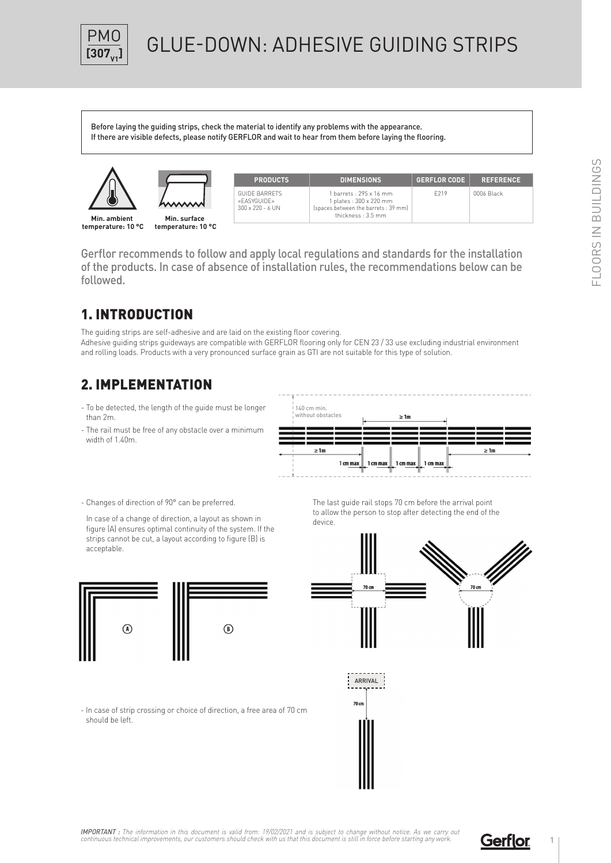

## **GLUE-DOWN: ADHESIVE GUIDING STRIPS**

Before laying the guiding strips, check the material to identify any problems with the appearance. If there are visible defects, please notify GERFLOR and wait to hear from them before laying the flooring.





| <b>PRODUCTS</b>                                         |   |
|---------------------------------------------------------|---|
| GUIDE BARRETS<br>«FASYGUIDE»<br>$300 \times 220 - 6$ UN | Ś |

| <b>PRODUCTS</b>                        | <b>DIMENSIONS</b>                                                                                             | <b>GERFLOR CODE</b> | <b>REFERENCE</b> |
|----------------------------------------|---------------------------------------------------------------------------------------------------------------|---------------------|------------------|
| BARRETS<br><b>GUIDE»</b><br>220 - 6 UN | 1 barrets: 295 x 16 mm<br>1 plates : 300 x 220 mm<br>(spaces between the barrets: 39 mm)<br>thickness: 3.5 mm | F219                | 0006 Black       |

Gerflor recommends to follow and apply local regulations and standards for the installation of the products. In case of absence of installation rules, the recommendations below can be followed.

## 1. INTRODUCTION

The guiding strips are self-adhesive and are laid on the existing floor covering. Adhesive guiding strips guideways are compatible with GERFLOR flooring only for CEN 23 / 33 use excluding industrial environment and rolling loads. Products with a very pronounced surface grain as GTI are not suitable for this type of solution.

## 2. IMPLEMENTATION

- To be detected, the length of the guide must be longer than 2m.
- The rail must be free of any obstacle over a minimum width of 1.40m.



- Changes of direction of 90° can be preferred.

In case of a change of direction, a layout as shown in figure (A) ensures optimal continuity of the system. If the strips cannot be cut, a layout according to figure (B) is acceptable.



The last guide rail stops 70 cm before the arrival point to allow the person to stop after detecting the end of the device.



- In case of strip crossing or choice of direction, a free area of 70 cm should be left.